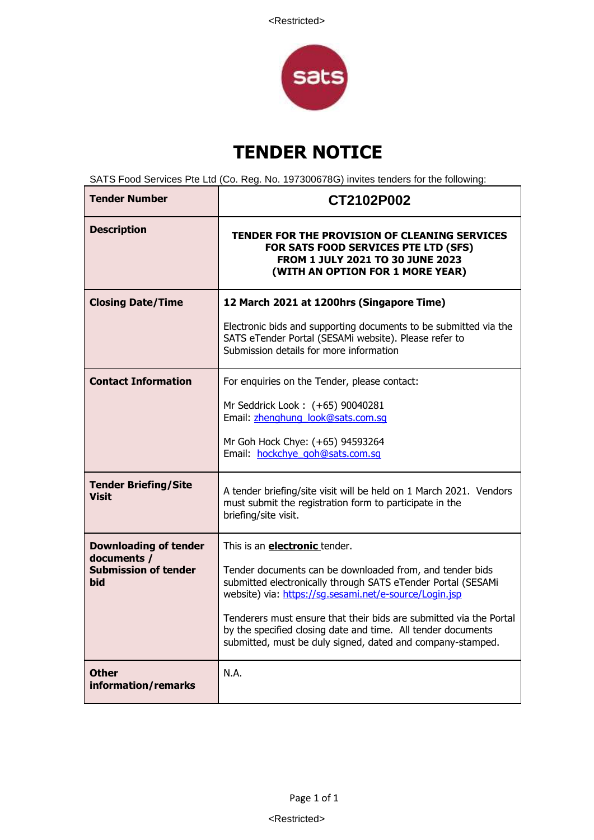

## **TENDER NOTICE**

SATS Food Services Pte Ltd (Co. Reg. No. 197300678G) invites tenders for the following:

| <b>Tender Number</b>                        | CT2102P002                                                                                                                                                                                       |
|---------------------------------------------|--------------------------------------------------------------------------------------------------------------------------------------------------------------------------------------------------|
| <b>Description</b>                          | <b>TENDER FOR THE PROVISION OF CLEANING SERVICES</b><br>FOR SATS FOOD SERVICES PTE LTD (SFS)<br>FROM 1 JULY 2021 TO 30 JUNE 2023<br>(WITH AN OPTION FOR 1 MORE YEAR)                             |
| <b>Closing Date/Time</b>                    | 12 March 2021 at 1200hrs (Singapore Time)                                                                                                                                                        |
|                                             | Electronic bids and supporting documents to be submitted via the<br>SATS eTender Portal (SESAMi website). Please refer to<br>Submission details for more information                             |
| <b>Contact Information</b>                  | For enquiries on the Tender, please contact:                                                                                                                                                     |
|                                             | Mr Seddrick Look: (+65) 90040281<br>Email: zhenghung look@sats.com.sq                                                                                                                            |
|                                             | Mr Goh Hock Chye: (+65) 94593264<br>Email: hockchye goh@sats.com.sq                                                                                                                              |
| <b>Tender Briefing/Site</b><br><b>Visit</b> | A tender briefing/site visit will be held on 1 March 2021. Vendors<br>must submit the registration form to participate in the<br>briefing/site visit.                                            |
| <b>Downloading of tender</b><br>documents / | This is an <b>electronic</b> tender.                                                                                                                                                             |
| <b>Submission of tender</b><br><b>bid</b>   | Tender documents can be downloaded from, and tender bids<br>submitted electronically through SATS eTender Portal (SESAMi<br>website) via: https://sg.sesami.net/e-source/Login.jsp               |
|                                             | Tenderers must ensure that their bids are submitted via the Portal<br>by the specified closing date and time. All tender documents<br>submitted, must be duly signed, dated and company-stamped. |
| <b>Other</b><br>information/remarks         | N.A.                                                                                                                                                                                             |